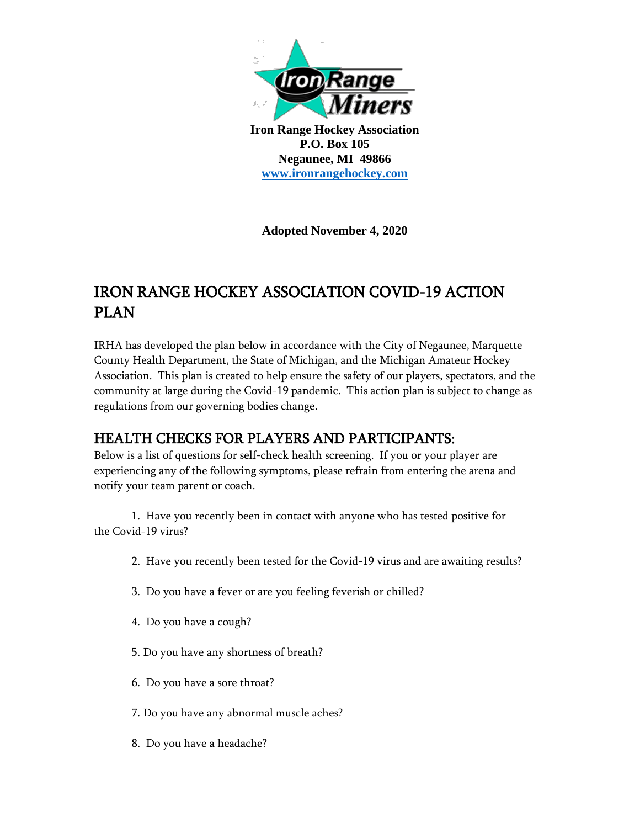

**Iron Range Hockey Association P.O. Box 105 Negaunee, MI 49866 [www.ironrangehockey.com](http://www.ironrangehockey.com/)**

**Adopted November 4, 2020**

# IRON RANGE HOCKEY ASSOCIATION COVID-19 ACTION PLAN

IRHA has developed the plan below in accordance with the City of Negaunee, Marquette County Health Department, the State of Michigan, and the Michigan Amateur Hockey Association. This plan is created to help ensure the safety of our players, spectators, and the community at large during the Covid-19 pandemic. This action plan is subject to change as regulations from our governing bodies change.

## HEALTH CHECKS FOR PLAYERS AND PARTICIPANTS:

Below is a list of questions for self-check health screening. If you or your player are experiencing any of the following symptoms, please refrain from entering the arena and notify your team parent or coach.

1. Have you recently been in contact with anyone who has tested positive for the Covid-19 virus?

- 2. Have you recently been tested for the Covid-19 virus and are awaiting results?
- 3. Do you have a fever or are you feeling feverish or chilled?
- 4. Do you have a cough?
- 5. Do you have any shortness of breath?
- 6. Do you have a sore throat?
- 7. Do you have any abnormal muscle aches?
- 8. Do you have a headache?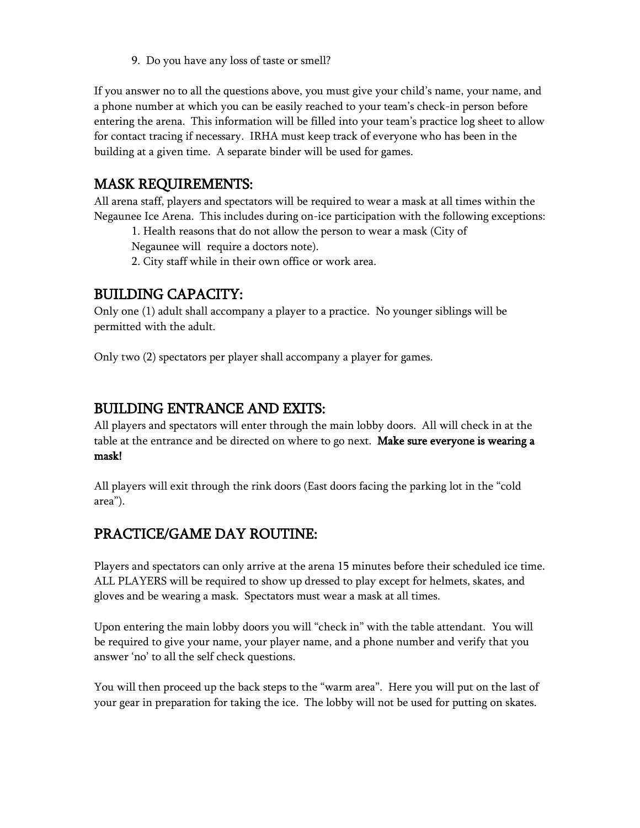9. Do you have any loss of taste or smell?

If you answer no to all the questions above, you must give your child's name, your name, and a phone number at which you can be easily reached to your team's check-in person before entering the arena. This information will be filled into your team's practice log sheet to allow for contact tracing if necessary. IRHA must keep track of everyone who has been in the building at a given time. A separate binder will be used for games.

#### MASK REQUIREMENTS:

All arena staff, players and spectators will be required to wear a mask at all times within the Negaunee Ice Arena. This includes during on-ice participation with the following exceptions:

1. Health reasons that do not allow the person to wear a mask (City of

Negaunee will require a doctors note).

2. City staff while in their own office or work area.

#### BUILDING CAPACITY:

Only one (1) adult shall accompany a player to a practice. No younger siblings will be permitted with the adult.

Only two (2) spectators per player shall accompany a player for games.

## BUILDING ENTRANCE AND EXITS:

All players and spectators will enter through the main lobby doors. All will check in at the table at the entrance and be directed on where to go next. Make sure everyone is wearing a mask!

All players will exit through the rink doors (East doors facing the parking lot in the "cold area").

## PRACTICE/GAME DAY ROUTINE:

Players and spectators can only arrive at the arena 15 minutes before their scheduled ice time. ALL PLAYERS will be required to show up dressed to play except for helmets, skates, and gloves and be wearing a mask. Spectators must wear a mask at all times.

Upon entering the main lobby doors you will "check in" with the table attendant. You will be required to give your name, your player name, and a phone number and verify that you answer 'no' to all the self check questions.

You will then proceed up the back steps to the "warm area". Here you will put on the last of your gear in preparation for taking the ice. The lobby will not be used for putting on skates.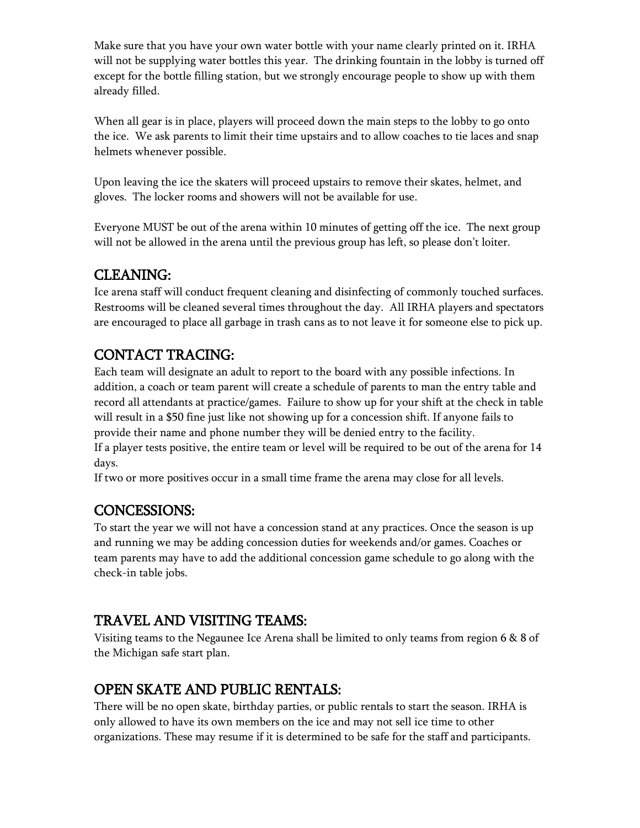Make sure that you have your own water bottle with your name clearly printed on it. IRHA will not be supplying water bottles this year. The drinking fountain in the lobby is turned off except for the bottle filling station, but we strongly encourage people to show up with them already filled.

When all gear is in place, players will proceed down the main steps to the lobby to go onto the ice. We ask parents to limit their time upstairs and to allow coaches to tie laces and snap helmets whenever possible.

Upon leaving the ice the skaters will proceed upstairs to remove their skates, helmet, and gloves. The locker rooms and showers will not be available for use.

Everyone MUST be out of the arena within 10 minutes of getting off the ice. The next group will not be allowed in the arena until the previous group has left, so please don't loiter.

## CLEANING:

Ice arena staff will conduct frequent cleaning and disinfecting of commonly touched surfaces. Restrooms will be cleaned several times throughout the day. All IRHA players and spectators are encouraged to place all garbage in trash cans as to not leave it for someone else to pick up.

# CONTACT TRACING:

Each team will designate an adult to report to the board with any possible infections. In addition, a coach or team parent will create a schedule of parents to man the entry table and record all attendants at practice/games. Failure to show up for your shift at the check in table will result in a \$50 fine just like not showing up for a concession shift. If anyone fails to provide their name and phone number they will be denied entry to the facility.

If a player tests positive, the entire team or level will be required to be out of the arena for 14 days.

If two or more positives occur in a small time frame the arena may close for all levels.

#### CONCESSIONS:

To start the year we will not have a concession stand at any practices. Once the season is up and running we may be adding concession duties for weekends and/or games. Coaches or team parents may have to add the additional concession game schedule to go along with the check-in table jobs.

## TRAVEL AND VISITING TEAMS:

Visiting teams to the Negaunee Ice Arena shall be limited to only teams from region 6 & 8 of the Michigan safe start plan.

# OPEN SKATE AND PUBLIC RENTALS:

There will be no open skate, birthday parties, or public rentals to start the season. IRHA is only allowed to have its own members on the ice and may not sell ice time to other organizations. These may resume if it is determined to be safe for the staff and participants.